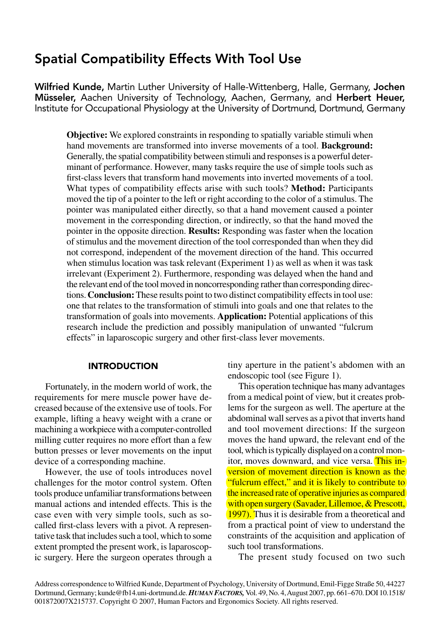# Spatial Compatibility Effects With Tool Use

Wilfried Kunde, Martin Luther University of Halle-Wittenberg, Halle, Germany, Jochen Müsseler, Aachen University of Technology, Aachen, Germany, and Herbert Heuer, Institute for Occupational Physiology at the University of Dortmund, Dortmund, Germany

**Objective:** We explored constraints in responding to spatially variable stimuli when hand movements are transformed into inverse movements of a tool. **Background:** Generally, the spatial compatibility between stimuli and responses is a powerful determinant of performance. However, many tasks require the use of simple tools such as first-class levers that transform hand movements into inverted movements of a tool. What types of compatibility effects arise with such tools? **Method:** Participants moved the tip of a pointer to the left or right according to the color of a stimulus. The pointer was manipulated either directly, so that a hand movement caused a pointer movement in the corresponding direction, or indirectly, so that the hand moved the pointer in the opposite direction. **Results:** Responding was faster when the location of stimulus and the movement direction of the tool corresponded than when they did not correspond, independent of the movement direction of the hand. This occurred when stimulus location was task relevant (Experiment 1) as well as when it was task irrelevant (Experiment 2). Furthermore, responding was delayed when the hand and the relevant end of the tool moved in noncorresponding rather than corresponding directions. **Conclusion:**These results point to two distinct compatibility effects in tool use: one that relates to the transformation of stimuli into goals and one that relates to the transformation of goals into movements. **Application:** Potential applications of this research include the prediction and possibly manipulation of unwanted "fulcrum effects" in laparoscopic surgery and other first-class lever movements.

### INTRODUCTION

Fortunately, in the modern world of work, the requirements for mere muscle power have decreased because of the extensive use of tools. For example, lifting a heavy weight with a crane or machining a workpiece with a computer-controlled milling cutter requires no more effort than a few button presses or lever movements on the input device of a corresponding machine.

However, the use of tools introduces novel challenges for the motor control system. Often tools produce unfamiliar transformations between manual actions and intended effects. This is the case even with very simple tools, such as socalled first-class levers with a pivot. A representative task that includes such a tool, which to some extent prompted the present work, is laparoscopic surgery. Here the surgeon operates through a tiny aperture in the patient's abdomen with an endoscopic tool (see Figure 1).

This operation technique has many advantages from a medical point of view, but it creates problems for the surgeon as well. The aperture at the abdominal wall serves as a pivot that inverts hand and tool movement directions: If the surgeon moves the hand upward, the relevant end of the tool, which is typically displayed on a control monitor, moves downward, and vice versa. This inversion of movement direction is known as the "fulcrum effect," and it is likely to contribute to the increased rate of operative injuries as compared with open surgery (Savader, Lillemoe, & Prescott, 1997). Thus it is desirable from a theoretical and from a practical point of view to understand the constraints of the acquisition and application of such tool transformations.

The present study focused on two such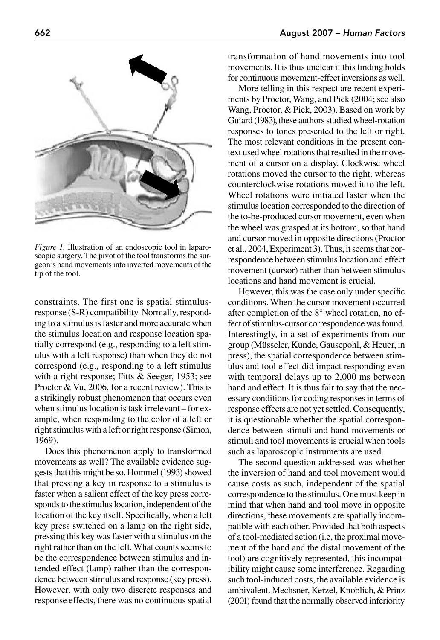

*Figure 1.* Illustration of an endoscopic tool in laparoscopic surgery. The pivot of the tool transforms the surgeon's hand movements into inverted movements of the tip of the tool.

constraints. The first one is spatial stimulusresponse (S-R) compatibility. Normally, responding to a stimulus is faster and more accurate when the stimulus location and response location spatially correspond (e.g., responding to a left stimulus with a left response) than when they do not correspond (e.g., responding to a left stimulus with a right response; Fitts & Seeger, 1953; see Proctor & Vu, 2006, for a recent review). This is a strikingly robust phenomenon that occurs even when stimulus location is task irrelevant – for example, when responding to the color of a left or right stimulus with a left or right response (Simon, 1969).

Does this phenomenon apply to transformed movements as well? The available evidence suggests that this might be so. Hommel (1993) showed that pressing a key in response to a stimulus is faster when a salient effect of the key press corresponds to the stimulus location, independent of the location of the key itself. Specifically, when a left key press switched on a lamp on the right side, pressing this key was faster with a stimulus on the right rather than on the left. What counts seems to be the correspondence between stimulus and intended effect (lamp) rather than the correspondence between stimulus and response (key press). However, with only two discrete responses and response effects, there was no continuous spatial transformation of hand movements into tool movements. It is thus unclear if this finding holds for continuous movement-effect inversions as well.

More telling in this respect are recent experiments by Proctor, Wang, and Pick (2004; see also Wang, Proctor, & Pick, 2003). Based on work by Guiard (1983), these authors studied wheel-rotation responses to tones presented to the left or right. The most relevant conditions in the present context used wheel rotations that resulted in the movement of a cursor on a display. Clockwise wheel rotations moved the cursor to the right, whereas counterclockwise rotations moved it to the left. Wheel rotations were initiated faster when the stimulus location corresponded to the direction of the to-be-produced cursor movement, even when the wheel was grasped at its bottom, so that hand and cursor moved in opposite directions (Proctor et al., 2004, Experiment 3). Thus, it seems that correspondence between stimulus location and effect movement (cursor) rather than between stimulus locations and hand movement is crucial.

However, this was the case only under specific conditions. When the cursor movement occurred after completion of the 8° wheel rotation, no effect of stimulus-cursor correspondence was found. Interestingly, in a set of experiments from our group (Müsseler, Kunde, Gausepohl, & Heuer, in press), the spatial correspondence between stimulus and tool effect did impact responding even with temporal delays up to 2,000 ms between hand and effect. It is thus fair to say that the necessary conditions for coding responses in terms of response effects are not yet settled. Consequently, it is questionable whether the spatial correspondence between stimuli and hand movements or stimuli and tool movements is crucial when tools such as laparoscopic instruments are used.

The second question addressed was whether the inversion of hand and tool movement would cause costs as such, independent of the spatial correspondence to the stimulus. One must keep in mind that when hand and tool move in opposite directions, these movements are spatially incompatible with each other. Provided that both aspects of a tool-mediated action (i.e, the proximal movement of the hand and the distal movement of the tool) are cognitively represented, this incompatibility might cause some interference. Regarding such tool-induced costs, the available evidence is ambivalent. Mechsner, Kerzel, Knoblich, & Prinz (2001) found that the normally observed inferiority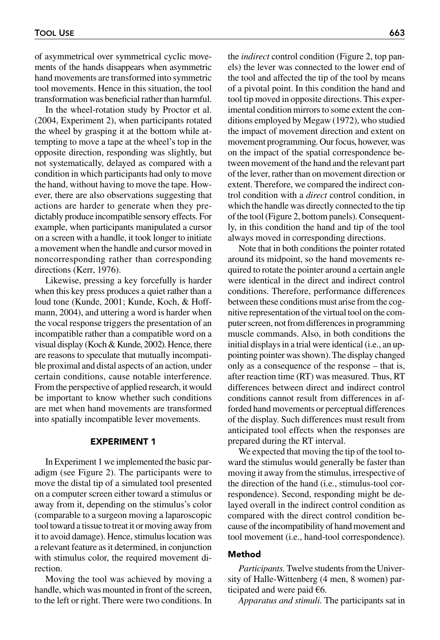of asymmetrical over symmetrical cyclic movements of the hands disappears when asymmetric hand movements are transformed into symmetric tool movements. Hence in this situation, the tool transformation was beneficial rather than harmful.

In the wheel-rotation study by Proctor et al. (2004, Experiment 2), when participants rotated the wheel by grasping it at the bottom while attempting to move a tape at the wheel's top in the opposite direction, responding was slightly, but not systematically, delayed as compared with a condition in which participants had only to move the hand, without having to move the tape. However, there are also observations suggesting that actions are harder to generate when they predictably produce incompatible sensory effects. For example, when participants manipulated a cursor on a screen with a handle, it took longer to initiate a movement when the handle and cursor moved in noncorresponding rather than corresponding directions (Kerr, 1976).

Likewise, pressing a key forcefully is harder when this key press produces a quiet rather than a loud tone (Kunde, 2001; Kunde, Koch, & Hoffmann, 2004), and uttering a word is harder when the vocal response triggers the presentation of an incompatible rather than a compatible word on a visual display (Koch & Kunde, 2002). Hence, there are reasons to speculate that mutually incompatible proximal and distal aspects of an action, under certain conditions, cause notable interference. From the perspective of applied research, it would be important to know whether such conditions are met when hand movements are transformed into spatially incompatible lever movements.

## EXPERIMENT 1

In Experiment 1 we implemented the basic paradigm (see Figure 2). The participants were to move the distal tip of a simulated tool presented on a computer screen either toward a stimulus or away from it, depending on the stimulus's color (comparable to a surgeon moving a laparoscopic tool toward a tissue to treat it or moving away from it to avoid damage). Hence, stimulus location was a relevant feature as it determined, in conjunction with stimulus color, the required movement direction.

Moving the tool was achieved by moving a handle, which was mounted in front of the screen, to the left or right. There were two conditions. In

the *indirect* control condition (Figure 2, top panels) the lever was connected to the lower end of the tool and affected the tip of the tool by means of a pivotal point. In this condition the hand and tool tip moved in opposite directions. This experimental condition mirrors to some extent the conditions employed by Megaw (1972), who studied the impact of movement direction and extent on movement programming. Our focus, however, was on the impact of the spatial correspondence between movement of the hand and the relevant part of the lever, rather than on movement direction or extent. Therefore, we compared the indirect control condition with a *direct* control condition, in which the handle was directly connected to the tip of the tool (Figure 2, bottom panels). Consequently, in this condition the hand and tip of the tool always moved in corresponding directions.

Note that in both conditions the pointer rotated around its midpoint, so the hand movements required to rotate the pointer around a certain angle were identical in the direct and indirect control conditions. Therefore, performance differences between these conditions must arise from the cognitive representation of the virtual tool on the computer screen, not from differences in programming muscle commands. Also, in both conditions the initial displays in a trial were identical (i.e., an uppointing pointer was shown). The display changed only as a consequence of the response – that is, after reaction time (RT) was measured. Thus, RT differences between direct and indirect control conditions cannot result from differences in afforded hand movements or perceptual differences of the display. Such differences must result from anticipated tool effects when the responses are prepared during the RT interval.

We expected that moving the tip of the tool toward the stimulus would generally be faster than moving it away from the stimulus, irrespective of the direction of the hand (i.e., stimulus-tool correspondence). Second, responding might be delayed overall in the indirect control condition as compared with the direct control condition because of the incompatibility of hand movement and tool movement (i.e., hand-tool correspondence).

# Method

*Participants.* Twelve students from the University of Halle-Wittenberg (4 men, 8 women) participated and were paid *€*6.

*Apparatus and stimuli.* The participants sat in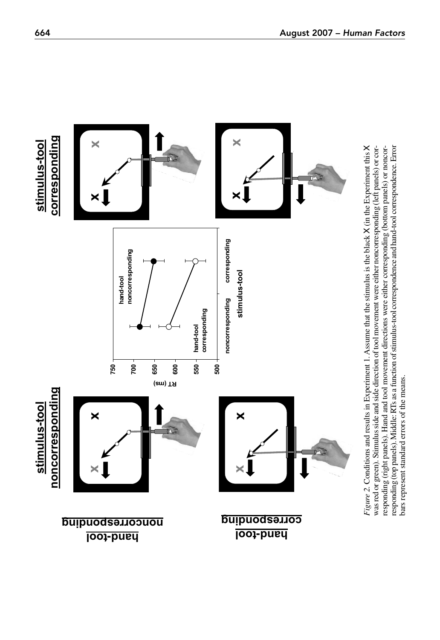

responding (right panels). Hand and tool movement directions were either corresponding (bottom panels) or noncorresponding (top panels). Middle: RTs as a function of stimulus-tool correspondence and hand-tool correspondence. Error responding (right panels). Hand and tool movement directions were either corresponding (bottom panels) or noncorresponding (top panels). Middle: RTs as a function of stimulus-tool correspondence and hand-tool correspondence. Error bars represent standard errors of the means. bars represent standard errors of the means.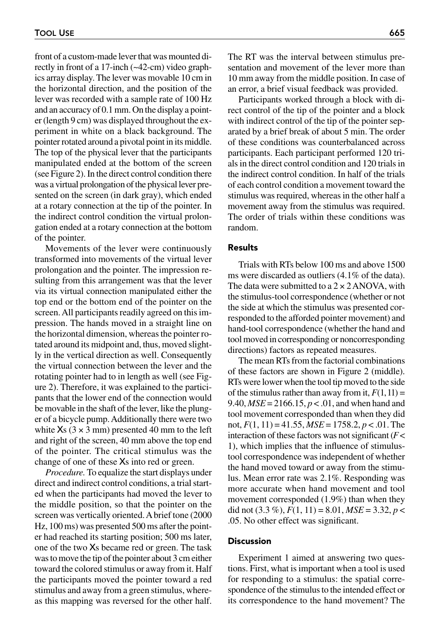front of a custom-made lever that was mounted directly in front of a 17-inch (~42-cm) video graphics array display. The lever was movable 10 cm in the horizontal direction, and the position of the lever was recorded with a sample rate of 100 Hz and an accuracy of 0.1 mm. On the display a pointer (length 9 cm) was displayed throughout the experiment in white on a black background. The pointer rotated around a pivotal point in its middle. The top of the physical lever that the participants manipulated ended at the bottom of the screen (see Figure 2). In the direct control condition there was a virtual prolongation of the physical lever presented on the screen (in dark gray), which ended at a rotary connection at the tip of the pointer. In the indirect control condition the virtual prolongation ended at a rotary connection at the bottom of the pointer.

Movements of the lever were continuously transformed into movements of the virtual lever prolongation and the pointer. The impression resulting from this arrangement was that the lever via its virtual connection manipulated either the top end or the bottom end of the pointer on the screen. All participants readily agreed on this impression. The hands moved in a straight line on the horizontal dimension, whereas the pointer rotated around its midpoint and, thus, moved slightly in the vertical direction as well. Consequently the virtual connection between the lever and the rotating pointer had to in length as well (see Figure 2). Therefore, it was explained to the participants that the lower end of the connection would be movable in the shaft of the lever, like the plunger of a bicycle pump. Additionally there were two white  $Xs$  (3  $\times$  3 mm) presented 40 mm to the left and right of the screen, 40 mm above the top end of the pointer. The critical stimulus was the change of one of these Xs into red or green.

*Procedure.* To equalize the start displays under direct and indirect control conditions, a trial started when the participants had moved the lever to the middle position, so that the pointer on the screen was vertically oriented. Abrief tone (2000 Hz, 100 ms) was presented 500 ms after the pointer had reached its starting position; 500 ms later, one of the two Xs became red or green. The task was to move the tip of the pointer about 3 cm either toward the colored stimulus or away from it. Half the participants moved the pointer toward a red stimulus and away from a green stimulus, whereas this mapping was reversed for the other half.

The RT was the interval between stimulus presentation and movement of the lever more than 10 mm away from the middle position. In case of an error, a brief visual feedback was provided.

Participants worked through a block with direct control of the tip of the pointer and a block with indirect control of the tip of the pointer separated by a brief break of about 5 min. The order of these conditions was counterbalanced across participants. Each participant performed 120 trials in the direct control condition and 120 trials in the indirect control condition. In half of the trials of each control condition a movement toward the stimulus was required, whereas in the other half a movement away from the stimulus was required. The order of trials within these conditions was random.

# Results

Trials with RTs below 100 ms and above 1500 ms were discarded as outliers (4.1% of the data). The data were submitted to a  $2 \times 2$  ANOVA, with the stimulus-tool correspondence (whether or not the side at which the stimulus was presented corresponded to the afforded pointer movement) and hand-tool correspondence (whether the hand and tool moved in corresponding or noncorresponding directions) factors as repeated measures.

The mean RTs from the factorial combinations of these factors are shown in Figure 2 (middle). RTs were lower when the tool tip moved to the side of the stimulus rather than away from it,  $F(1,11) =$ 9.40,  $MSE = 2166.15$ ,  $p < .01$ , and when hand and tool movement corresponded than when they did not, *F*(1, 11) = 41.55, *MSE* = 1758.2, *p* < .01. The interaction of these factors was not significant (*F*< 1), which implies that the influence of stimulustool correspondence was independent of whether the hand moved toward or away from the stimulus. Mean error rate was 2.1%. Responding was more accurate when hand movement and tool movement corresponded (1.9%) than when they did not  $(3.3\%)$ ,  $F(1, 11) = 8.01$ ,  $MSE = 3.32$ ,  $p <$ .05. No other effect was significant.

#### **Discussion**

Experiment 1 aimed at answering two questions. First, what is important when a tool is used for responding to a stimulus: the spatial correspondence of the stimulus to the intended effect or its correspondence to the hand movement? The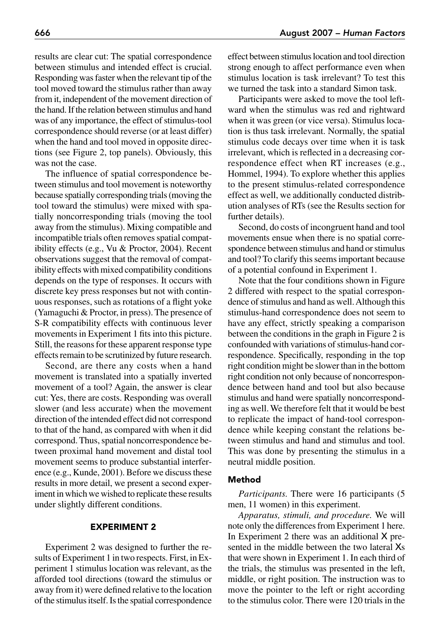results are clear cut: The spatial correspondence between stimulus and intended effect is crucial. Responding was faster when the relevant tip of the tool moved toward the stimulus rather than away from it, independent of the movement direction of the hand. If the relation between stimulus and hand was of any importance, the effect of stimulus-tool correspondence should reverse (or at least differ) when the hand and tool moved in opposite directions (see Figure 2, top panels). Obviously, this was not the case.

The influence of spatial correspondence between stimulus and tool movement is noteworthy because spatially corresponding trials (moving the tool toward the stimulus) were mixed with spatially noncorresponding trials (moving the tool away from the stimulus). Mixing compatible and incompatible trials often removes spatial compatibility effects (e.g., Vu & Proctor, 2004). Recent observations suggest that the removal of compatibility effects with mixed compatibility conditions depends on the type of responses. It occurs with discrete key press responses but not with continuous responses, such as rotations of a flight yoke (Yamaguchi & Proctor, in press). The presence of S-R compatibility effects with continuous lever movements in Experiment 1 fits into this picture. Still, the reasons for these apparent response type effects remain to be scrutinized by future research.

Second, are there any costs when a hand movement is translated into a spatially inverted movement of a tool? Again, the answer is clear cut: Yes, there are costs. Responding was overall slower (and less accurate) when the movement direction of the intended effect did not correspond to that of the hand, as compared with when it did correspond. Thus, spatial noncorrespondence between proximal hand movement and distal tool movement seems to produce substantial interference (e.g., Kunde, 2001). Before we discuss these results in more detail, we present a second experiment in which we wished to replicate these results under slightly different conditions.

# EXPERIMENT 2

Experiment 2 was designed to further the results of Experiment 1 in two respects. First, in Experiment 1 stimulus location was relevant, as the afforded tool directions (toward the stimulus or away from it) were defined relative to the location of the stimulus itself. Is the spatial correspondence effect between stimulus location and tool direction strong enough to affect performance even when stimulus location is task irrelevant? To test this we turned the task into a standard Simon task.

Participants were asked to move the tool leftward when the stimulus was red and rightward when it was green (or vice versa). Stimulus location is thus task irrelevant. Normally, the spatial stimulus code decays over time when it is task irrelevant, which is reflected in a decreasing correspondence effect when RT increases (e.g., Hommel, 1994). To explore whether this applies to the present stimulus-related correspondence effect as well, we additionally conducted distribution analyses of RTs (see the Results section for further details).

Second, do costs of incongruent hand and tool movements ensue when there is no spatial correspondence between stimulus and hand or stimulus and tool? To clarify this seems important because of a potential confound in Experiment 1.

Note that the four conditions shown in Figure 2 differed with respect to the spatial correspondence of stimulus and hand as well. Although this stimulus-hand correspondence does not seem to have any effect, strictly speaking a comparison between the conditions in the graph in Figure 2 is confounded with variations of stimulus-hand correspondence. Specifically, responding in the top right condition might be slower than in the bottom right condition not only because of noncorrespondence between hand and tool but also because stimulus and hand were spatially noncorresponding as well. We therefore felt that it would be best to replicate the impact of hand-tool correspondence while keeping constant the relations between stimulus and hand and stimulus and tool. This was done by presenting the stimulus in a neutral middle position.

## Method

*Participants.* There were 16 participants (5 men, 11 women) in this experiment.

*Apparatus, stimuli, and procedure.* We will note only the differences from Experiment 1 here. In Experiment 2 there was an additional X presented in the middle between the two lateral Xs that were shown in Experiment 1. In each third of the trials, the stimulus was presented in the left, middle, or right position. The instruction was to move the pointer to the left or right according to the stimulus color. There were 120 trials in the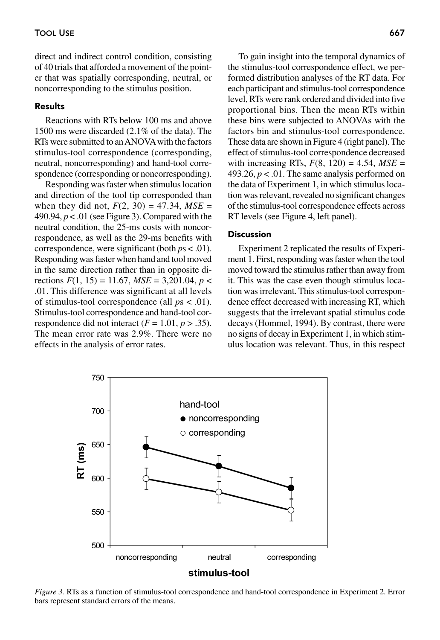direct and indirect control condition, consisting of 40 trials that afforded a movement of the pointer that was spatially corresponding, neutral, or noncorresponding to the stimulus position.

## Results

Reactions with RTs below 100 ms and above 1500 ms were discarded (2.1% of the data). The RTs were submitted to an ANOVAwith the factors stimulus-tool correspondence (corresponding, neutral, noncorresponding) and hand-tool correspondence (corresponding or noncorresponding).

Responding was faster when stimulus location and direction of the tool tip corresponded than when they did not,  $F(2, 30) = 47.34$ ,  $MSE =$ 490.94, *p* < .01 (see Figure 3). Compared with the neutral condition, the 25-ms costs with noncorrespondence, as well as the 29-ms benefits with correspondence, were significant (both *p*s < .01). Responding was faster when hand and tool moved in the same direction rather than in opposite directions *F*(1, 15) = 11.67, *MSE* = 3,201.04, *p* < .01. This difference was significant at all levels of stimulus-tool correspondence (all *p*s < .01). Stimulus-tool correspondence and hand-tool correspondence did not interact  $(F = 1.01, p > .35)$ . The mean error rate was 2.9%. There were no effects in the analysis of error rates.

To gain insight into the temporal dynamics of the stimulus-tool correspondence effect, we performed distribution analyses of the RT data. For each participant and stimulus-tool correspondence level, RTs were rank ordered and divided into five proportional bins. Then the mean RTs within these bins were subjected to ANOVAs with the factors bin and stimulus-tool correspondence. These data are shown in Figure 4 (right panel). The effect of stimulus-tool correspondence decreased with increasing RTs,  $F(8, 120) = 4.54$ ,  $MSE =$ 493.26,  $p < 0.01$ . The same analysis performed on the data of Experiment 1, in which stimulus location was relevant, revealed no significant changes of the stimulus-tool correspondence effects across RT levels (see Figure 4, left panel).

#### **Discussion**

Experiment 2 replicated the results of Experiment 1. First, responding was faster when the tool moved toward the stimulus rather than away from it. This was the case even though stimulus location was irrelevant. This stimulus-tool correspondence effect decreased with increasing RT, which suggests that the irrelevant spatial stimulus code decays (Hommel, 1994). By contrast, there were no signs of decay in Experiment 1, in which stimulus location was relevant. Thus, in this respect



*Figure 3.* RTs as a function of stimulus-tool correspondence and hand-tool correspondence in Experiment 2. Error bars represent standard errors of the means.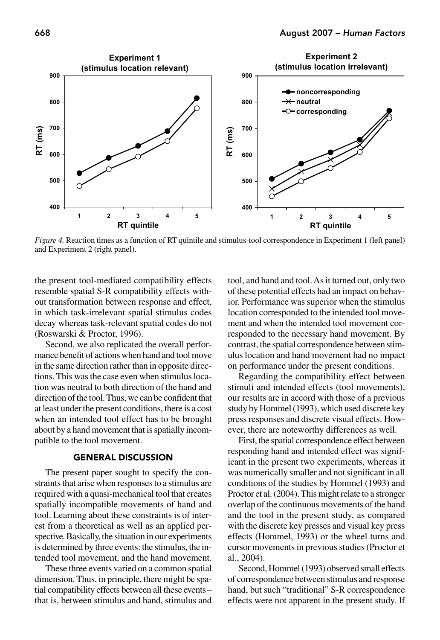

*Figure 4.* Reaction times as a function of RT quintile and stimulus-tool correspondence in Experiment 1 (left panel) and Experiment 2 (right panel).

the present tool-mediated compatibility effects resemble spatial S-R compatibility effects without transformation between response and effect, in which task-irrelevant spatial stimulus codes decay whereas task-relevant spatial codes do not (Roswarski & Proctor, 1996).

Second, we also replicated the overall performance benefit of actions when hand and tool move in the same direction rather than in opposite directions. This was the case even when stimulus location was neutral to both direction of the hand and direction of the tool. Thus, we can be confident that at least under the present conditions, there is a cost when an intended tool effect has to be brought about by a hand movement that is spatially incompatible to the tool movement.

# GENERAL DISCUSSION

The present paper sought to specify the constraints that arise when responses to a stimulus are required with a quasi-mechanical tool that creates spatially incompatible movements of hand and tool. Learning about these constraints is of interest from a theoretical as well as an applied perspective. Basically, the situation in our experiments is determined by three events: the stimulus, the intended tool movement, and the hand movement.

These three events varied on a common spatial dimension. Thus, in principle, there might be spatial compatibility effects between all these events– that is, between stimulus and hand, stimulus and tool, and hand and tool. As it turned out, only two of these potential effects had an impact on behavior. Performance was superior when the stimulus location corresponded to the intended tool movement and when the intended tool movement corresponded to the necessary hand movement. By contrast, the spatial correspondence between stimulus location and hand movement had no impact on performance under the present conditions.

Regarding the compatibility effect between stimuli and intended effects (tool movements), our results are in accord with those of a previous study by Hommel (1993), which used discrete key press responses and discrete visual effects. However, there are noteworthy differences as well.

First, the spatial correspondence effect between responding hand and intended effect was significant in the present two experiments, whereas it was numerically smaller and not significant in all conditions of the studies by Hommel (1993) and Proctor et al. (2004). This might relate to a stronger overlap of the continuous movements of the hand and the tool in the present study, as compared with the discrete key presses and visual key press effects (Hommel, 1993) or the wheel turns and cursor movements in previous studies (Proctor et al., 2004).

Second, Hommel (1993) observed small effects of correspondence between stimulus and response hand, but such "traditional" S-R correspondence effects were not apparent in the present study. If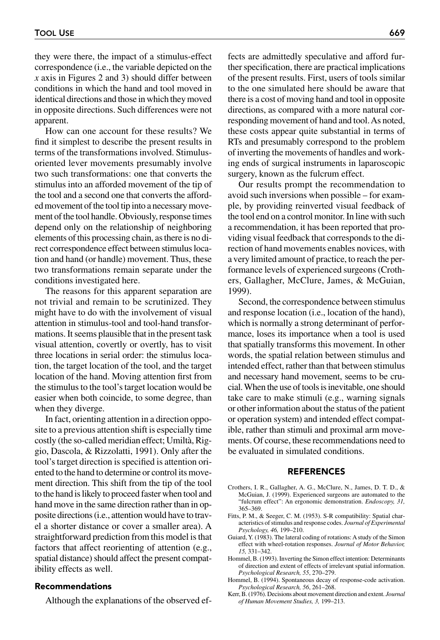they were there, the impact of a stimulus-effect correspondence (i.e., the variable depicted on the *x* axis in Figures 2 and 3) should differ between conditions in which the hand and tool moved in identical directions and those in which they moved in opposite directions. Such differences were not apparent.

How can one account for these results? We find it simplest to describe the present results in terms of the transformations involved. Stimulusoriented lever movements presumably involve two such transformations: one that converts the stimulus into an afforded movement of the tip of the tool and a second one that converts the afforded movement of the tool tip into a necessary movement of the tool handle. Obviously, response times depend only on the relationship of neighboring elements of this processing chain, as there is no direct correspondence effect between stimulus location and hand (or handle) movement. Thus, these two transformations remain separate under the conditions investigated here.

The reasons for this apparent separation are not trivial and remain to be scrutinized. They might have to do with the involvement of visual attention in stimulus-tool and tool-hand transformations. It seems plausible that in the present task visual attention, covertly or overtly, has to visit three locations in serial order: the stimulus location, the target location of the tool, and the target location of the hand. Moving attention first from the stimulus to the tool's target location would be easier when both coincide, to some degree, than when they diverge.

In fact, orienting attention in a direction opposite to a previous attention shift is especially time costly (the so-called meridian effect; Umiltà, Riggio, Dascola, & Rizzolatti, 1991). Only after the tool's target direction is specified is attention oriented to the hand to determine or control its movement direction. This shift from the tip of the tool to the hand is likely to proceed faster when tool and hand move in the same direction rather than in opposite directions (i.e., attention would have to travel a shorter distance or cover a smaller area). A straightforward prediction from this model is that factors that affect reorienting of attention (e.g., spatial distance) should affect the present compatibility effects as well.

#### Recommendations

Although the explanations of the observed ef-

fects are admittedly speculative and afford further specification, there are practical implications of the present results. First, users of tools similar to the one simulated here should be aware that there is a cost of moving hand and tool in opposite directions, as compared with a more natural corresponding movement of hand and tool. As noted, these costs appear quite substantial in terms of RTs and presumably correspond to the problem of inverting the movements of handles and working ends of surgical instruments in laparoscopic surgery, known as the fulcrum effect.

Our results prompt the recommendation to avoid such inversions when possible – for example, by providing reinverted visual feedback of the tool end on a control monitor. In line with such a recommendation, it has been reported that providing visual feedback that corresponds to the direction of hand movements enables novices, with a very limited amount of practice, to reach the performance levels of experienced surgeons (Crothers, Gallagher, McClure, James, & McGuian, 1999).

Second, the correspondence between stimulus and response location (i.e., location of the hand), which is normally a strong determinant of performance, loses its importance when a tool is used that spatially transforms this movement. In other words, the spatial relation between stimulus and intended effect, rather than that between stimulus and necessary hand movement, seems to be crucial. When the use of tools is inevitable, one should take care to make stimuli (e.g., warning signals or other information about the status of the patient or operation system) and intended effect compatible, rather than stimuli and proximal arm movements. Of course, these recommendations need to be evaluated in simulated conditions.

#### REFERENCES

- Crothers, I. R., Gallagher, A. G., McClure, N., James, D. T. D., & McGuian, J. (1999). Experienced surgeons are automated to the "fulcrum effect": An ergonomic demonstration. *Endoscopy, 31,* 365–369.
- Fitts, P. M., & Seeger, C. M. (1953). S-R compatibility: Spatial characteristics of stimulus and response codes. *Journal of Experimental Psychology, 46,* 199–210.
- Guiard, Y. (1983). The lateral coding of rotations: A study of the Simon effect with wheel-rotation responses. *Journal of Motor Behavior, 15,* 331–342.
- Hommel, B. (1993). Inverting the Simon effect intention: Determinants of direction and extent of effects of irrelevant spatial information. *Psychological Research, 55*, 270–279.
- Hommel, B. (1994). Spontaneous decay of response-code activation. *Psychological Research, 56*, 261–268.
- Kerr, B. (1976). Decisions about movement direction and extent. *Journal of Human Movement Studies, 3,* 199–213.